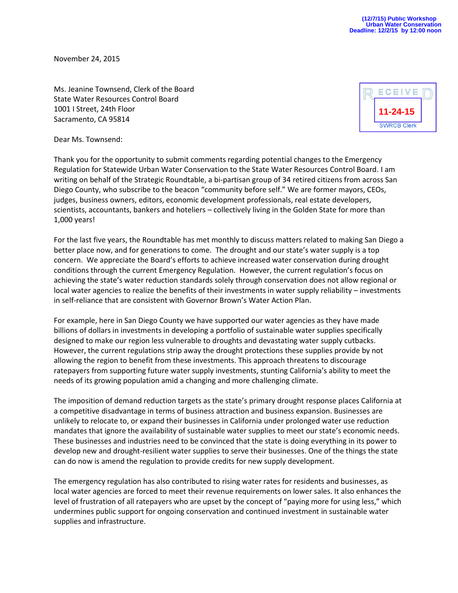November 24, 2015

Ms. Jeanine Townsend, Clerk of the Board State Water Resources Control Board 1001 I Street, 24th Floor Sacramento, CA 95814



Dear Ms. Townsend:

Thank you for the opportunity to submit comments regarding potential changes to the Emergency Regulation for Statewide Urban Water Conservation to the State Water Resources Control Board. I am writing on behalf of the Strategic Roundtable, a bi-partisan group of 34 retired citizens from across San Diego County, who subscribe to the beacon "community before self." We are former mayors, CEOs, judges, business owners, editors, economic development professionals, real estate developers, scientists, accountants, bankers and hoteliers – collectively living in the Golden State for more than 1,000 years!

For the last five years, the Roundtable has met monthly to discuss matters related to making San Diego a better place now, and for generations to come. The drought and our state's water supply is a top concern. We appreciate the Board's efforts to achieve increased water conservation during drought conditions through the current Emergency Regulation. However, the current regulation's focus on achieving the state's water reduction standards solely through conservation does not allow regional or local water agencies to realize the benefits of their investments in water supply reliability – investments in self-reliance that are consistent with Governor Brown's Water Action Plan.

For example, here in San Diego County we have supported our water agencies as they have made billions of dollars in investments in developing a portfolio of sustainable water supplies specifically designed to make our region less vulnerable to droughts and devastating water supply cutbacks. However, the current regulations strip away the drought protections these supplies provide by not allowing the region to benefit from these investments. This approach threatens to discourage ratepayers from supporting future water supply investments, stunting California's ability to meet the needs of its growing population amid a changing and more challenging climate.

The imposition of demand reduction targets as the state's primary drought response places California at a competitive disadvantage in terms of business attraction and business expansion. Businesses are unlikely to relocate to, or expand their businesses in California under prolonged water use reduction mandates that ignore the availability of sustainable water supplies to meet our state's economic needs. These businesses and industries need to be convinced that the state is doing everything in its power to develop new and drought-resilient water supplies to serve their businesses. One of the things the state can do now is amend the regulation to provide credits for new supply development.

The emergency regulation has also contributed to rising water rates for residents and businesses, as local water agencies are forced to meet their revenue requirements on lower sales. It also enhances the level of frustration of all ratepayers who are upset by the concept of "paying more for using less," which undermines public support for ongoing conservation and continued investment in sustainable water supplies and infrastructure.